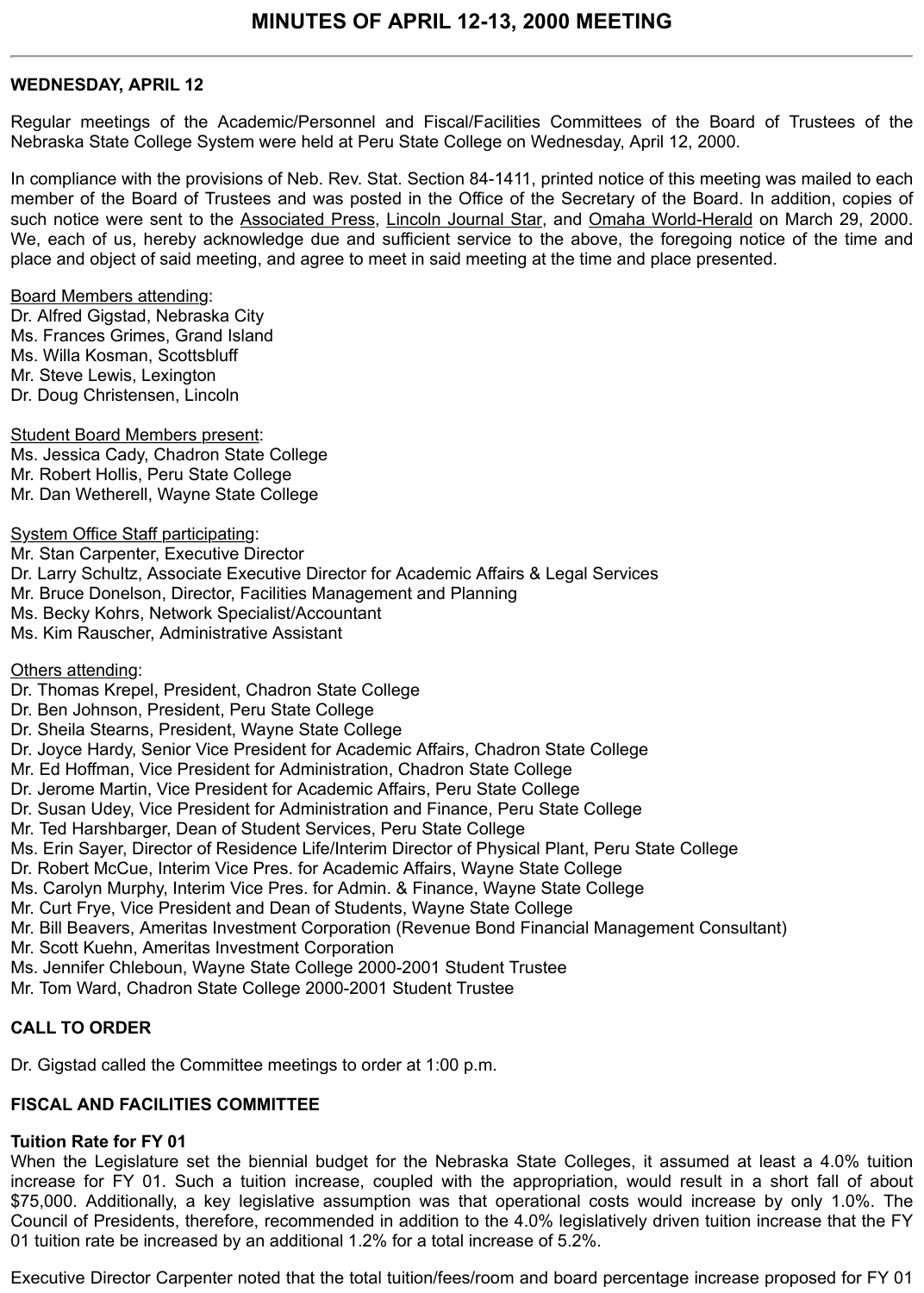### **WEDNESDAY, APRIL 12**

Regular meetings of the Academic/Personnel and Fiscal/Facilities Committees of the Board of Trustees of the Nebraska State College System were held at Peru State College on Wednesday, April 12, 2000.

In compliance with the provisions of Neb. Rev. Stat. Section 84-1411, printed notice of this meeting was mailed to each member of the Board of Trustees and was posted in the Office of the Secretary of the Board. In addition, copies of such notice were sent to the Associated Press, Lincoln Journal Star, and Omaha World-Herald on March 29, 2000. We, each of us, hereby acknowledge due and sufficient service to the above, the foregoing notice of the time and place and object of said meeting, and agree to meet in said meeting at the time and place presented.

Board Members attending:

Dr. Alfred Gigstad, Nebraska City Ms. Frances Grimes, Grand Island Ms. Willa Kosman, Scottsbluff Mr. Steve Lewis, Lexington Dr. Doug Christensen, Lincoln

Student Board Members present: Ms. Jessica Cady, Chadron State College Mr. Robert Hollis, Peru State College Mr. Dan Wetherell, Wayne State College

System Office Staff participating: Mr. Stan Carpenter, Executive Director Dr. Larry Schultz, Associate Executive Director for Academic Affairs & Legal Services Mr. Bruce Donelson, Director, Facilities Management and Planning Ms. Becky Kohrs, Network Specialist/Accountant Ms. Kim Rauscher, Administrative Assistant

Others attending:

Dr. Thomas Krepel, President, Chadron State College

Dr. Ben Johnson, President, Peru State College

Dr. Sheila Stearns, President, Wayne State College

Dr. Joyce Hardy, Senior Vice President for Academic Affairs, Chadron State College

Mr. Ed Hoffman, Vice President for Administration, Chadron State College

Dr. Jerome Martin, Vice President for Academic Affairs, Peru State College

Dr. Susan Udey, Vice President for Administration and Finance, Peru State College

Mr. Ted Harshbarger, Dean of Student Services, Peru State College

Ms. Erin Sayer, Director of Residence Life/Interim Director of Physical Plant, Peru State College

Dr. Robert McCue, Interim Vice Pres. for Academic Affairs, Wayne State College

Ms. Carolyn Murphy, Interim Vice Pres. for Admin. & Finance, Wayne State College

Mr. Curt Frye, Vice President and Dean of Students, Wayne State College

Mr. Bill Beavers, Ameritas Investment Corporation (Revenue Bond Financial Management Consultant)

Mr. Scott Kuehn, Ameritas Investment Corporation

Ms. Jennifer Chleboun, Wayne State College 2000-2001 Student Trustee

Mr. Tom Ward, Chadron State College 2000-2001 Student Trustee

## **CALL TO ORDER**

Dr. Gigstad called the Committee meetings to order at 1:00 p.m.

## **FISCAL AND FACILITIES COMMITTEE**

## **Tuition Rate for FY 01**

When the Legislature set the biennial budget for the Nebraska State Colleges, it assumed at least a 4.0% tuition increase for FY 01. Such a tuition increase, coupled with the appropriation, would result in a short fall of about \$75,000. Additionally, a key legislative assumption was that operational costs would increase by only 1.0%. The Council of Presidents, therefore, recommended in addition to the 4.0% legislatively driven tuition increase that the FY 01 tuition rate be increased by an additional 1.2% for a total increase of 5.2%.

Executive Director Carpenter noted that the total tuition/fees/room and board percentage increase proposed for FY 01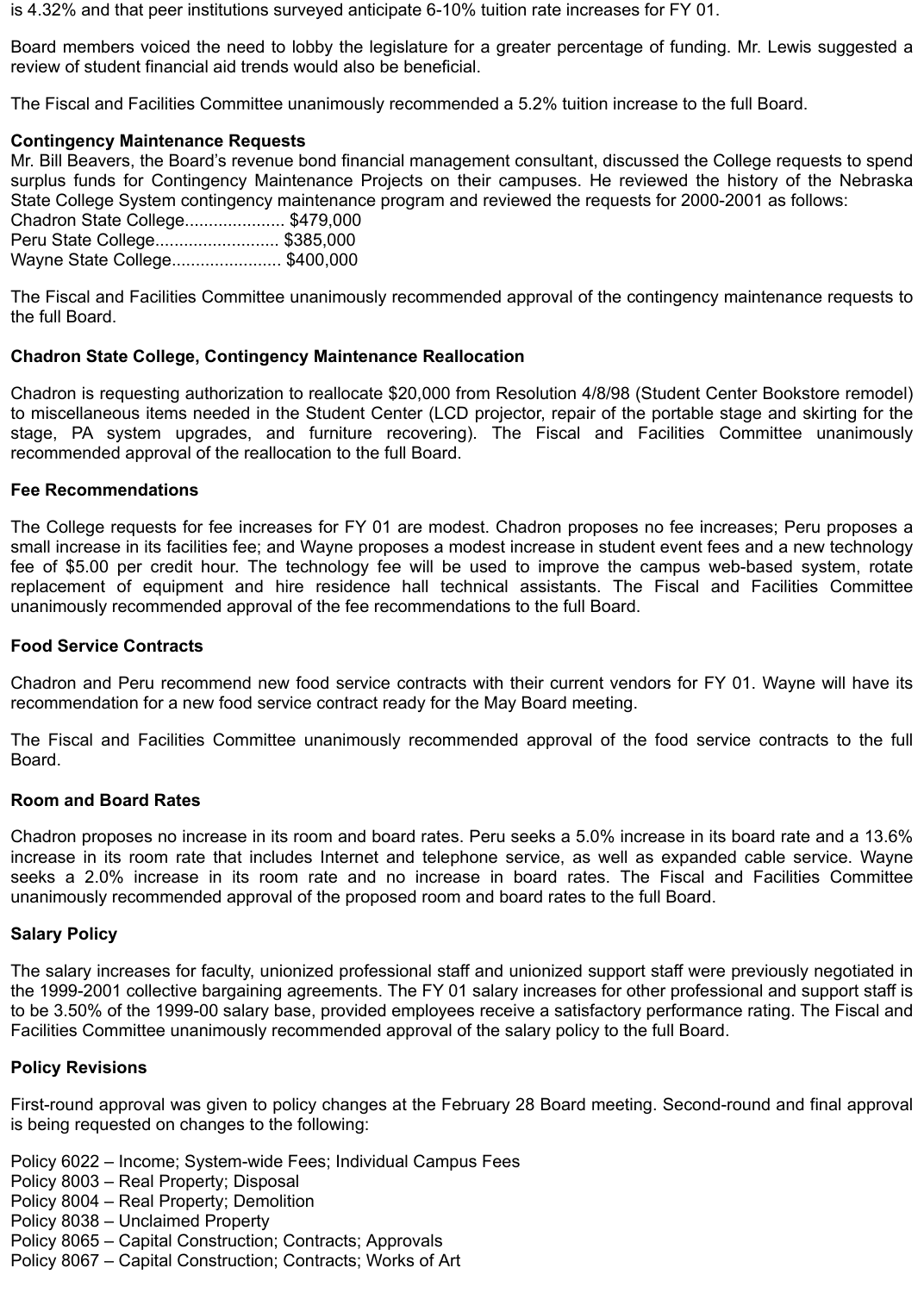is 4.32% and that peer institutions surveyed anticipate 6-10% tuition rate increases for FY 01.

Board members voiced the need to lobby the legislature for a greater percentage of funding. Mr. Lewis suggested a review of student financial aid trends would also be beneficial.

The Fiscal and Facilities Committee unanimously recommended a 5.2% tuition increase to the full Board.

## **Contingency Maintenance Requests**

Mr. Bill Beavers, the Board's revenue bond financial management consultant, discussed the College requests to spend surplus funds for Contingency Maintenance Projects on their campuses. He reviewed the history of the Nebraska State College System contingency maintenance program and reviewed the requests for 2000-2001 as follows:

Chadron State College..................... \$479,000 Peru State College.......................... \$385,000 Wayne State College....................... \$400,000

The Fiscal and Facilities Committee unanimously recommended approval of the contingency maintenance requests to the full Board.

## **Chadron State College, Contingency Maintenance Reallocation**

Chadron is requesting authorization to reallocate \$20,000 from Resolution 4/8/98 (Student Center Bookstore remodel) to miscellaneous items needed in the Student Center (LCD projector, repair of the portable stage and skirting for the stage, PA system upgrades, and furniture recovering). The Fiscal and Facilities Committee unanimously recommended approval of the reallocation to the full Board.

## **Fee Recommendations**

The College requests for fee increases for FY 01 are modest. Chadron proposes no fee increases; Peru proposes a small increase in its facilities fee; and Wayne proposes a modest increase in student event fees and a new technology fee of \$5.00 per credit hour. The technology fee will be used to improve the campus web-based system, rotate replacement of equipment and hire residence hall technical assistants. The Fiscal and Facilities Committee unanimously recommended approval of the fee recommendations to the full Board.

## **Food Service Contracts**

Chadron and Peru recommend new food service contracts with their current vendors for FY 01. Wayne will have its recommendation for a new food service contract ready for the May Board meeting.

The Fiscal and Facilities Committee unanimously recommended approval of the food service contracts to the full Board.

## **Room and Board Rates**

Chadron proposes no increase in its room and board rates. Peru seeks a 5.0% increase in its board rate and a 13.6% increase in its room rate that includes Internet and telephone service, as well as expanded cable service. Wayne seeks a 2.0% increase in its room rate and no increase in board rates. The Fiscal and Facilities Committee unanimously recommended approval of the proposed room and board rates to the full Board.

### **Salary Policy**

The salary increases for faculty, unionized professional staff and unionized support staff were previously negotiated in the 1999-2001 collective bargaining agreements. The FY 01 salary increases for other professional and support staff is to be 3.50% of the 1999-00 salary base, provided employees receive a satisfactory performance rating. The Fiscal and Facilities Committee unanimously recommended approval of the salary policy to the full Board.

## **Policy Revisions**

First-round approval was given to policy changes at the February 28 Board meeting. Second-round and final approval is being requested on changes to the following:

Policy 6022 – Income; System-wide Fees; Individual Campus Fees

- Policy 8003 Real Property; Disposal
- Policy 8004 Real Property; Demolition
- Policy 8038 Unclaimed Property
- Policy 8065 Capital Construction; Contracts; Approvals
- Policy 8067 Capital Construction; Contracts; Works of Art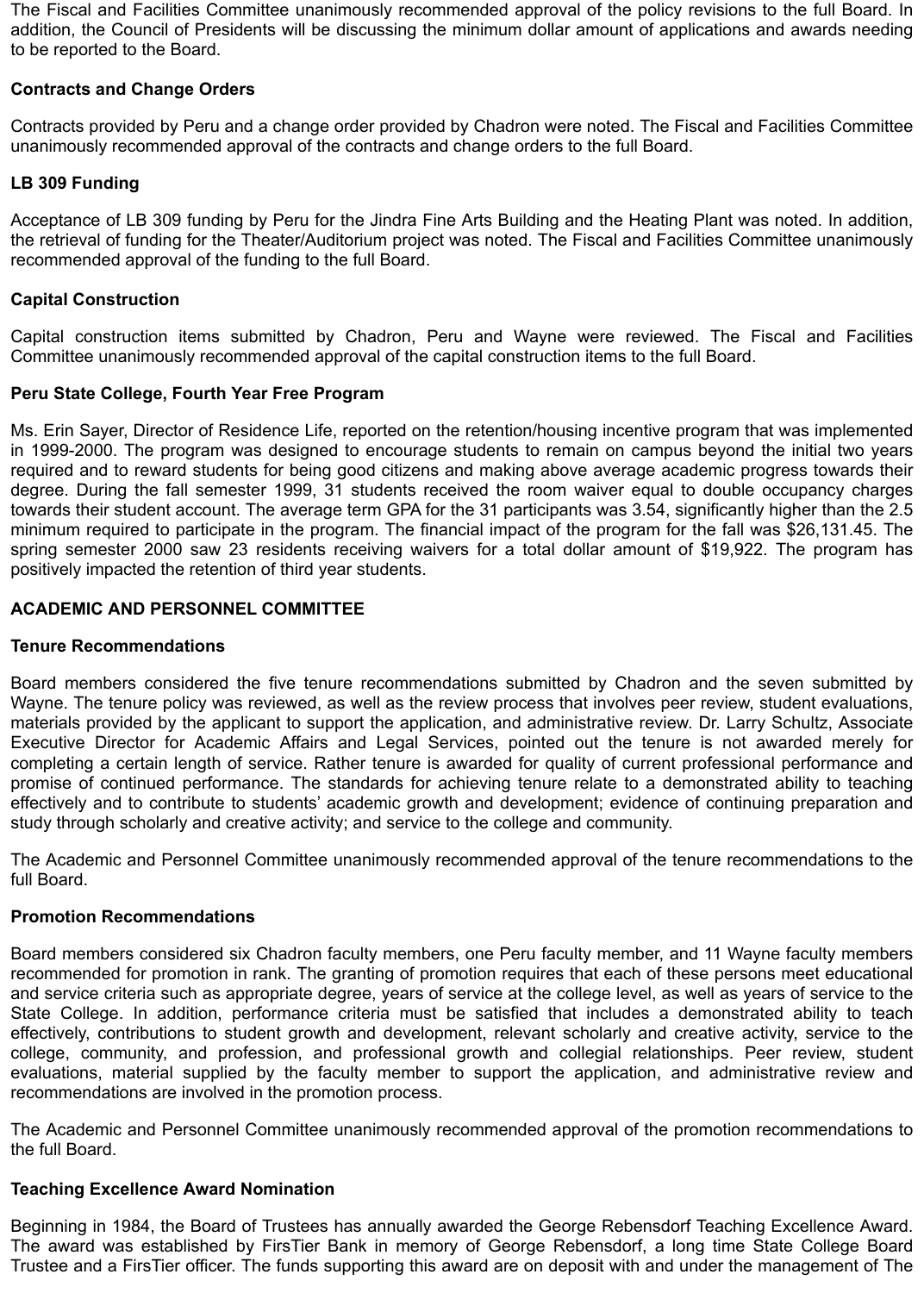The Fiscal and Facilities Committee unanimously recommended approval of the policy revisions to the full Board. In addition, the Council of Presidents will be discussing the minimum dollar amount of applications and awards needing to be reported to the Board.

# **Contracts and Change Orders**

Contracts provided by Peru and a change order provided by Chadron were noted. The Fiscal and Facilities Committee unanimously recommended approval of the contracts and change orders to the full Board.

# **LB 309 Funding**

Acceptance of LB 309 funding by Peru for the Jindra Fine Arts Building and the Heating Plant was noted. In addition, the retrieval of funding for the Theater/Auditorium project was noted. The Fiscal and Facilities Committee unanimously recommended approval of the funding to the full Board.

## **Capital Construction**

Capital construction items submitted by Chadron, Peru and Wayne were reviewed. The Fiscal and Facilities Committee unanimously recommended approval of the capital construction items to the full Board.

## **Peru State College, Fourth Year Free Program**

Ms. Erin Sayer, Director of Residence Life, reported on the retention/housing incentive program that was implemented in 1999-2000. The program was designed to encourage students to remain on campus beyond the initial two years required and to reward students for being good citizens and making above average academic progress towards their degree. During the fall semester 1999, 31 students received the room waiver equal to double occupancy charges towards their student account. The average term GPA for the 31 participants was 3.54, significantly higher than the 2.5 minimum required to participate in the program. The financial impact of the program for the fall was \$26,131.45. The spring semester 2000 saw 23 residents receiving waivers for a total dollar amount of \$19,922. The program has positively impacted the retention of third year students.

# **ACADEMIC AND PERSONNEL COMMITTEE**

## **Tenure Recommendations**

Board members considered the five tenure recommendations submitted by Chadron and the seven submitted by Wayne. The tenure policy was reviewed, as well as the review process that involves peer review, student evaluations, materials provided by the applicant to support the application, and administrative review. Dr. Larry Schultz, Associate Executive Director for Academic Affairs and Legal Services, pointed out the tenure is not awarded merely for completing a certain length of service. Rather tenure is awarded for quality of current professional performance and promise of continued performance. The standards for achieving tenure relate to a demonstrated ability to teaching effectively and to contribute to students' academic growth and development; evidence of continuing preparation and study through scholarly and creative activity; and service to the college and community.

The Academic and Personnel Committee unanimously recommended approval of the tenure recommendations to the full Board.

## **Promotion Recommendations**

Board members considered six Chadron faculty members, one Peru faculty member, and 11 Wayne faculty members recommended for promotion in rank. The granting of promotion requires that each of these persons meet educational and service criteria such as appropriate degree, years of service at the college level, as well as years of service to the State College. In addition, performance criteria must be satisfied that includes a demonstrated ability to teach effectively, contributions to student growth and development, relevant scholarly and creative activity, service to the college, community, and profession, and professional growth and collegial relationships. Peer review, student evaluations, material supplied by the faculty member to support the application, and administrative review and recommendations are involved in the promotion process.

The Academic and Personnel Committee unanimously recommended approval of the promotion recommendations to the full Board.

## **Teaching Excellence Award Nomination**

Beginning in 1984, the Board of Trustees has annually awarded the George Rebensdorf Teaching Excellence Award. The award was established by FirsTier Bank in memory of George Rebensdorf, a long time State College Board Trustee and a FirsTier officer. The funds supporting this award are on deposit with and under the management of The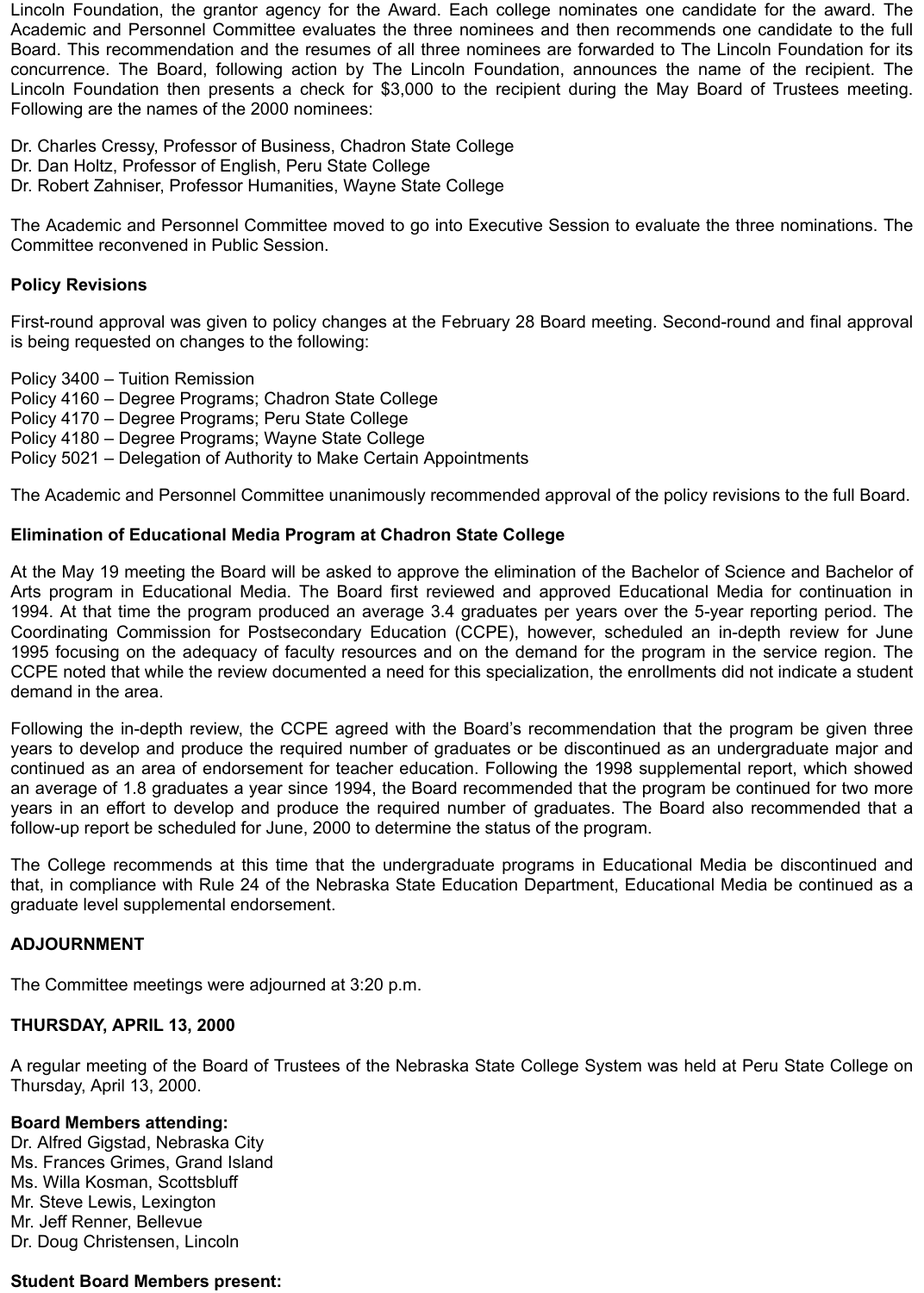Lincoln Foundation, the grantor agency for the Award. Each college nominates one candidate for the award. The Academic and Personnel Committee evaluates the three nominees and then recommends one candidate to the full Board. This recommendation and the resumes of all three nominees are forwarded to The Lincoln Foundation for its concurrence. The Board, following action by The Lincoln Foundation, announces the name of the recipient. The Lincoln Foundation then presents a check for \$3,000 to the recipient during the May Board of Trustees meeting. Following are the names of the 2000 nominees:

Dr. Charles Cressy, Professor of Business, Chadron State College Dr. Dan Holtz, Professor of English, Peru State College Dr. Robert Zahniser, Professor Humanities, Wayne State College

The Academic and Personnel Committee moved to go into Executive Session to evaluate the three nominations. The Committee reconvened in Public Session.

## **Policy Revisions**

First-round approval was given to policy changes at the February 28 Board meeting. Second-round and final approval is being requested on changes to the following:

Policy 3400 – Tuition Remission

Policy 4160 – Degree Programs; Chadron State College

Policy 4170 – Degree Programs; Peru State College

Policy 4180 – Degree Programs; Wayne State College

Policy 5021 – Delegation of Authority to Make Certain Appointments

The Academic and Personnel Committee unanimously recommended approval of the policy revisions to the full Board.

### **Elimination of Educational Media Program at Chadron State College**

At the May 19 meeting the Board will be asked to approve the elimination of the Bachelor of Science and Bachelor of Arts program in Educational Media. The Board first reviewed and approved Educational Media for continuation in 1994. At that time the program produced an average 3.4 graduates per years over the 5-year reporting period. The Coordinating Commission for Postsecondary Education (CCPE), however, scheduled an in-depth review for June 1995 focusing on the adequacy of faculty resources and on the demand for the program in the service region. The CCPE noted that while the review documented a need for this specialization, the enrollments did not indicate a student demand in the area.

Following the in-depth review, the CCPE agreed with the Board's recommendation that the program be given three years to develop and produce the required number of graduates or be discontinued as an undergraduate major and continued as an area of endorsement for teacher education. Following the 1998 supplemental report, which showed an average of 1.8 graduates a year since 1994, the Board recommended that the program be continued for two more years in an effort to develop and produce the required number of graduates. The Board also recommended that a follow-up report be scheduled for June, 2000 to determine the status of the program.

The College recommends at this time that the undergraduate programs in Educational Media be discontinued and that, in compliance with Rule 24 of the Nebraska State Education Department, Educational Media be continued as a graduate level supplemental endorsement.

### **ADJOURNMENT**

The Committee meetings were adjourned at 3:20 p.m.

# **THURSDAY, APRIL 13, 2000**

A regular meeting of the Board of Trustees of the Nebraska State College System was held at Peru State College on Thursday, April 13, 2000.

## **Board Members attending:**

Dr. Alfred Gigstad, Nebraska City Ms. Frances Grimes, Grand Island Ms. Willa Kosman, Scottsbluff Mr. Steve Lewis, Lexington Mr. Jeff Renner, Bellevue Dr. Doug Christensen, Lincoln

### **Student Board Members present:**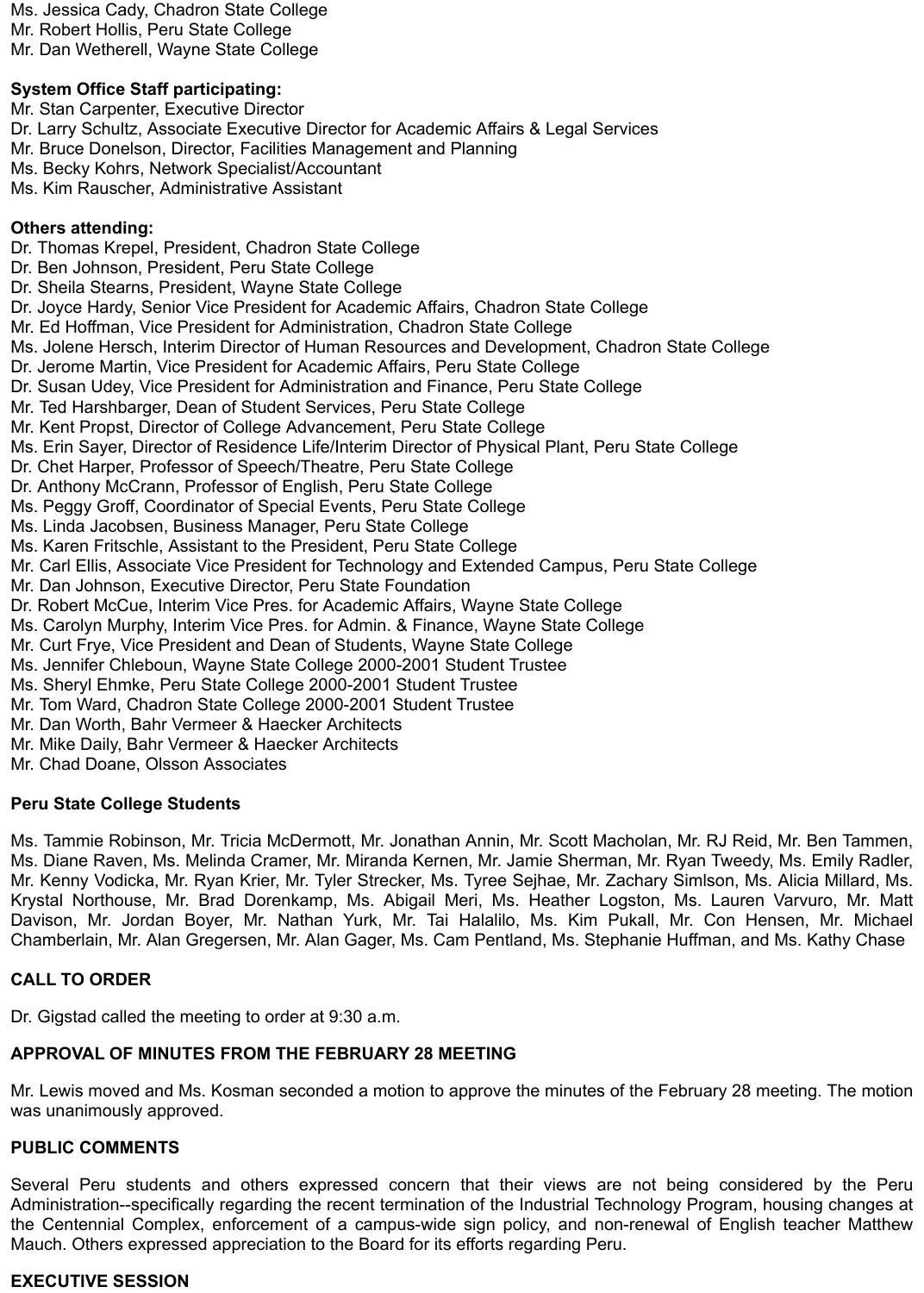Ms. Jessica Cady, Chadron State College Mr. Robert Hollis, Peru State College Mr. Dan Wetherell, Wayne State College

# **System Office Staff participating:**

Mr. Stan Carpenter, Executive Director Dr. Larry Schultz, Associate Executive Director for Academic Affairs & Legal Services Mr. Bruce Donelson, Director, Facilities Management and Planning Ms. Becky Kohrs, Network Specialist/Accountant Ms. Kim Rauscher, Administrative Assistant

### **Others attending:**

Dr. Thomas Krepel, President, Chadron State College Dr. Ben Johnson, President, Peru State College Dr. Sheila Stearns, President, Wayne State College Dr. Joyce Hardy, Senior Vice President for Academic Affairs, Chadron State College Mr. Ed Hoffman, Vice President for Administration, Chadron State College Ms. Jolene Hersch, Interim Director of Human Resources and Development, Chadron State College Dr. Jerome Martin, Vice President for Academic Affairs, Peru State College Dr. Susan Udey, Vice President for Administration and Finance, Peru State College Mr. Ted Harshbarger, Dean of Student Services, Peru State College Mr. Kent Propst, Director of College Advancement, Peru State College Ms. Erin Sayer, Director of Residence Life/Interim Director of Physical Plant, Peru State College Dr. Chet Harper, Professor of Speech/Theatre, Peru State College Dr. Anthony McCrann, Professor of English, Peru State College Ms. Peggy Groff, Coordinator of Special Events, Peru State College Ms. Linda Jacobsen, Business Manager, Peru State College Ms. Karen Fritschle, Assistant to the President, Peru State College Mr. Carl Ellis, Associate Vice President for Technology and Extended Campus, Peru State College Mr. Dan Johnson, Executive Director, Peru State Foundation Dr. Robert McCue, Interim Vice Pres. for Academic Affairs, Wayne State College Ms. Carolyn Murphy, Interim Vice Pres. for Admin. & Finance, Wayne State College Mr. Curt Frye, Vice President and Dean of Students, Wayne State College Ms. Jennifer Chleboun, Wayne State College 2000-2001 Student Trustee Ms. Sheryl Ehmke, Peru State College 2000-2001 Student Trustee Mr. Tom Ward, Chadron State College 2000-2001 Student Trustee Mr. Dan Worth, Bahr Vermeer & Haecker Architects Mr. Mike Daily, Bahr Vermeer & Haecker Architects

Mr. Chad Doane, Olsson Associates

## **Peru State College Students**

Ms. Tammie Robinson, Mr. Tricia McDermott, Mr. Jonathan Annin, Mr. Scott Macholan, Mr. RJ Reid, Mr. Ben Tammen, Ms. Diane Raven, Ms. Melinda Cramer, Mr. Miranda Kernen, Mr. Jamie Sherman, Mr. Ryan Tweedy, Ms. Emily Radler, Mr. Kenny Vodicka, Mr. Ryan Krier, Mr. Tyler Strecker, Ms. Tyree Sejhae, Mr. Zachary Simlson, Ms. Alicia Millard, Ms. Krystal Northouse, Mr. Brad Dorenkamp, Ms. Abigail Meri, Ms. Heather Logston, Ms. Lauren Varvuro, Mr. Matt Davison, Mr. Jordan Boyer, Mr. Nathan Yurk, Mr. Tai Halalilo, Ms. Kim Pukall, Mr. Con Hensen, Mr. Michael Chamberlain, Mr. Alan Gregersen, Mr. Alan Gager, Ms. Cam Pentland, Ms. Stephanie Huffman, and Ms. Kathy Chase

## **CALL TO ORDER**

Dr. Gigstad called the meeting to order at 9:30 a.m.

## **APPROVAL OF MINUTES FROM THE FEBRUARY 28 MEETING**

Mr. Lewis moved and Ms. Kosman seconded a motion to approve the minutes of the February 28 meeting. The motion was unanimously approved.

### **PUBLIC COMMENTS**

Several Peru students and others expressed concern that their views are not being considered by the Peru Administration--specifically regarding the recent termination of the Industrial Technology Program, housing changes at the Centennial Complex, enforcement of a campus-wide sign policy, and non-renewal of English teacher Matthew Mauch. Others expressed appreciation to the Board for its efforts regarding Peru.

## **EXECUTIVE SESSION**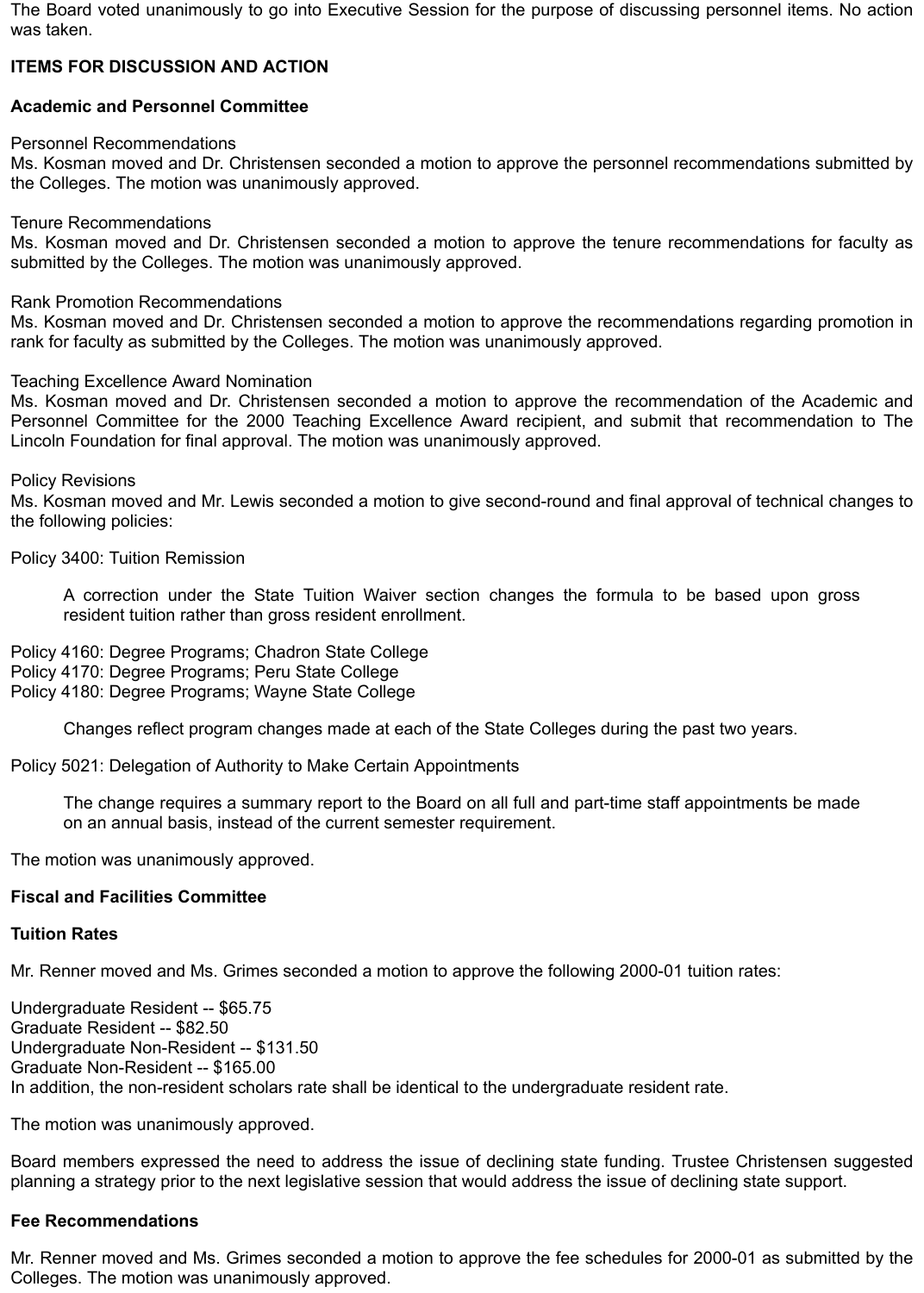The Board voted unanimously to go into Executive Session for the purpose of discussing personnel items. No action was taken.

# **ITEMS FOR DISCUSSION AND ACTION**

# **Academic and Personnel Committee**

Personnel Recommendations

Ms. Kosman moved and Dr. Christensen seconded a motion to approve the personnel recommendations submitted by the Colleges. The motion was unanimously approved.

Tenure Recommendations

Ms. Kosman moved and Dr. Christensen seconded a motion to approve the tenure recommendations for faculty as submitted by the Colleges. The motion was unanimously approved.

Rank Promotion Recommendations

Ms. Kosman moved and Dr. Christensen seconded a motion to approve the recommendations regarding promotion in rank for faculty as submitted by the Colleges. The motion was unanimously approved.

### Teaching Excellence Award Nomination

Ms. Kosman moved and Dr. Christensen seconded a motion to approve the recommendation of the Academic and Personnel Committee for the 2000 Teaching Excellence Award recipient, and submit that recommendation to The Lincoln Foundation for final approval. The motion was unanimously approved.

Policy Revisions

Ms. Kosman moved and Mr. Lewis seconded a motion to give second-round and final approval of technical changes to the following policies:

Policy 3400: Tuition Remission

A correction under the State Tuition Waiver section changes the formula to be based upon gross resident tuition rather than gross resident enrollment.

Policy 4160: Degree Programs; Chadron State College Policy 4170: Degree Programs; Peru State College Policy 4180: Degree Programs; Wayne State College

Changes reflect program changes made at each of the State Colleges during the past two years.

Policy 5021: Delegation of Authority to Make Certain Appointments

The change requires a summary report to the Board on all full and part-time staff appointments be made on an annual basis, instead of the current semester requirement.

The motion was unanimously approved.

### **Fiscal and Facilities Committee**

### **Tuition Rates**

Mr. Renner moved and Ms. Grimes seconded a motion to approve the following 2000-01 tuition rates:

Undergraduate Resident -- \$65.75 Graduate Resident -- \$82.50 Undergraduate Non-Resident -- \$131.50 Graduate Non-Resident -- \$165.00 In addition, the non-resident scholars rate shall be identical to the undergraduate resident rate.

The motion was unanimously approved.

Board members expressed the need to address the issue of declining state funding. Trustee Christensen suggested planning a strategy prior to the next legislative session that would address the issue of declining state support.

## **Fee Recommendations**

Mr. Renner moved and Ms. Grimes seconded a motion to approve the fee schedules for 2000-01 as submitted by the Colleges. The motion was unanimously approved.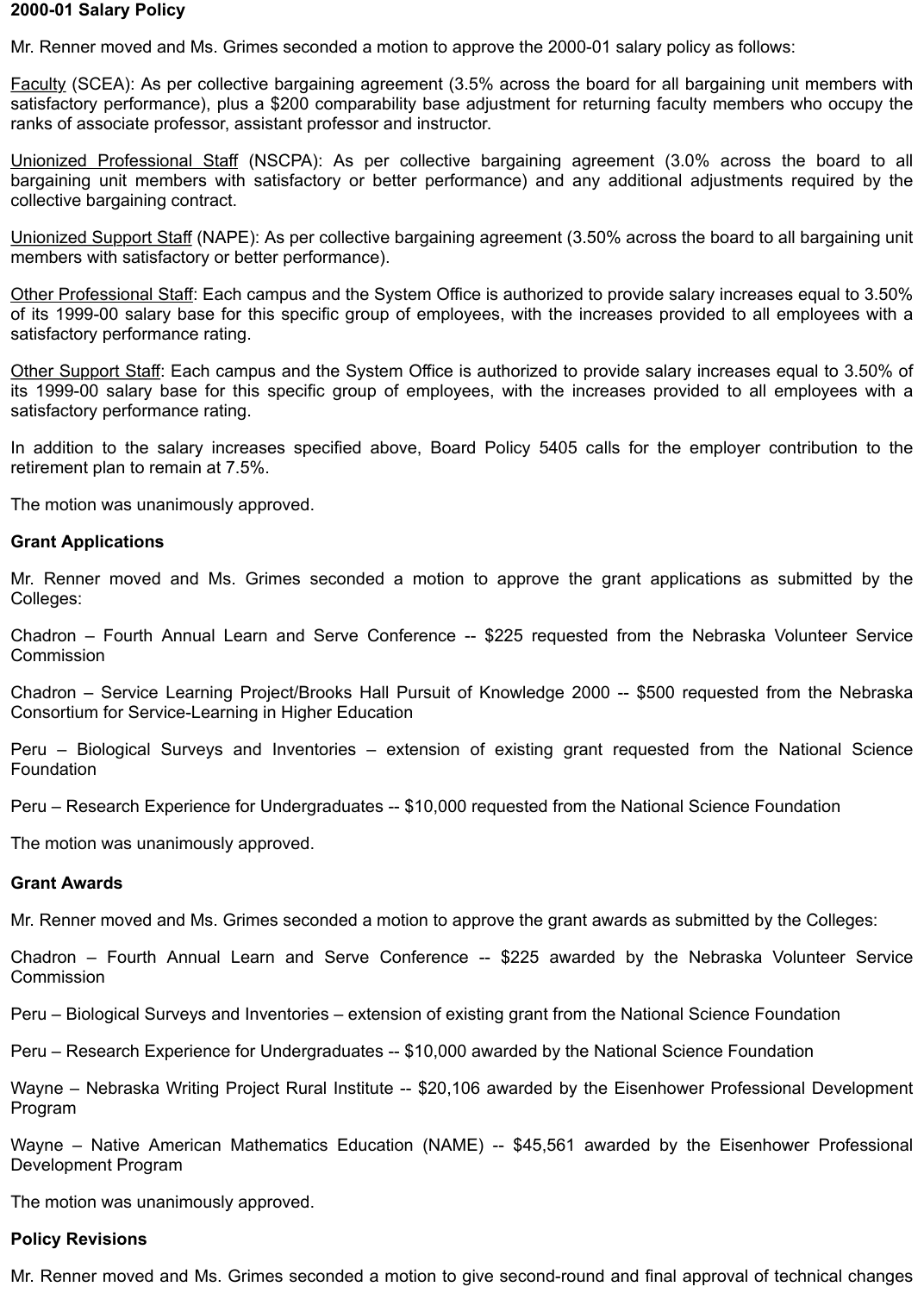### **2000-01 Salary Policy**

Mr. Renner moved and Ms. Grimes seconded a motion to approve the 2000-01 salary policy as follows:

Faculty (SCEA): As per collective bargaining agreement (3.5% across the board for all bargaining unit members with satisfactory performance), plus a \$200 comparability base adjustment for returning faculty members who occupy the ranks of associate professor, assistant professor and instructor.

Unionized Professional Staff (NSCPA): As per collective bargaining agreement (3.0% across the board to all bargaining unit members with satisfactory or better performance) and any additional adjustments required by the collective bargaining contract.

Unionized Support Staff (NAPE): As per collective bargaining agreement (3.50% across the board to all bargaining unit members with satisfactory or better performance).

Other Professional Staff: Each campus and the System Office is authorized to provide salary increases equal to 3.50% of its 1999-00 salary base for this specific group of employees, with the increases provided to all employees with a satisfactory performance rating.

Other Support Staff: Each campus and the System Office is authorized to provide salary increases equal to 3.50% of its 1999-00 salary base for this specific group of employees, with the increases provided to all employees with a satisfactory performance rating.

In addition to the salary increases specified above, Board Policy 5405 calls for the employer contribution to the retirement plan to remain at 7.5%.

The motion was unanimously approved.

#### **Grant Applications**

Mr. Renner moved and Ms. Grimes seconded a motion to approve the grant applications as submitted by the Colleges:

Chadron – Fourth Annual Learn and Serve Conference -- \$225 requested from the Nebraska Volunteer Service **Commission** 

Chadron – Service Learning Project/Brooks Hall Pursuit of Knowledge 2000 -- \$500 requested from the Nebraska Consortium for Service-Learning in Higher Education

Peru – Biological Surveys and Inventories – extension of existing grant requested from the National Science Foundation

Peru – Research Experience for Undergraduates -- \$10,000 requested from the National Science Foundation

The motion was unanimously approved.

#### **Grant Awards**

Mr. Renner moved and Ms. Grimes seconded a motion to approve the grant awards as submitted by the Colleges:

Chadron – Fourth Annual Learn and Serve Conference -- \$225 awarded by the Nebraska Volunteer Service **Commission** 

Peru – Biological Surveys and Inventories – extension of existing grant from the National Science Foundation

Peru – Research Experience for Undergraduates -- \$10,000 awarded by the National Science Foundation

Wayne – Nebraska Writing Project Rural Institute -- \$20,106 awarded by the Eisenhower Professional Development Program

Wayne – Native American Mathematics Education (NAME) -- \$45,561 awarded by the Eisenhower Professional Development Program

The motion was unanimously approved.

#### **Policy Revisions**

Mr. Renner moved and Ms. Grimes seconded a motion to give second-round and final approval of technical changes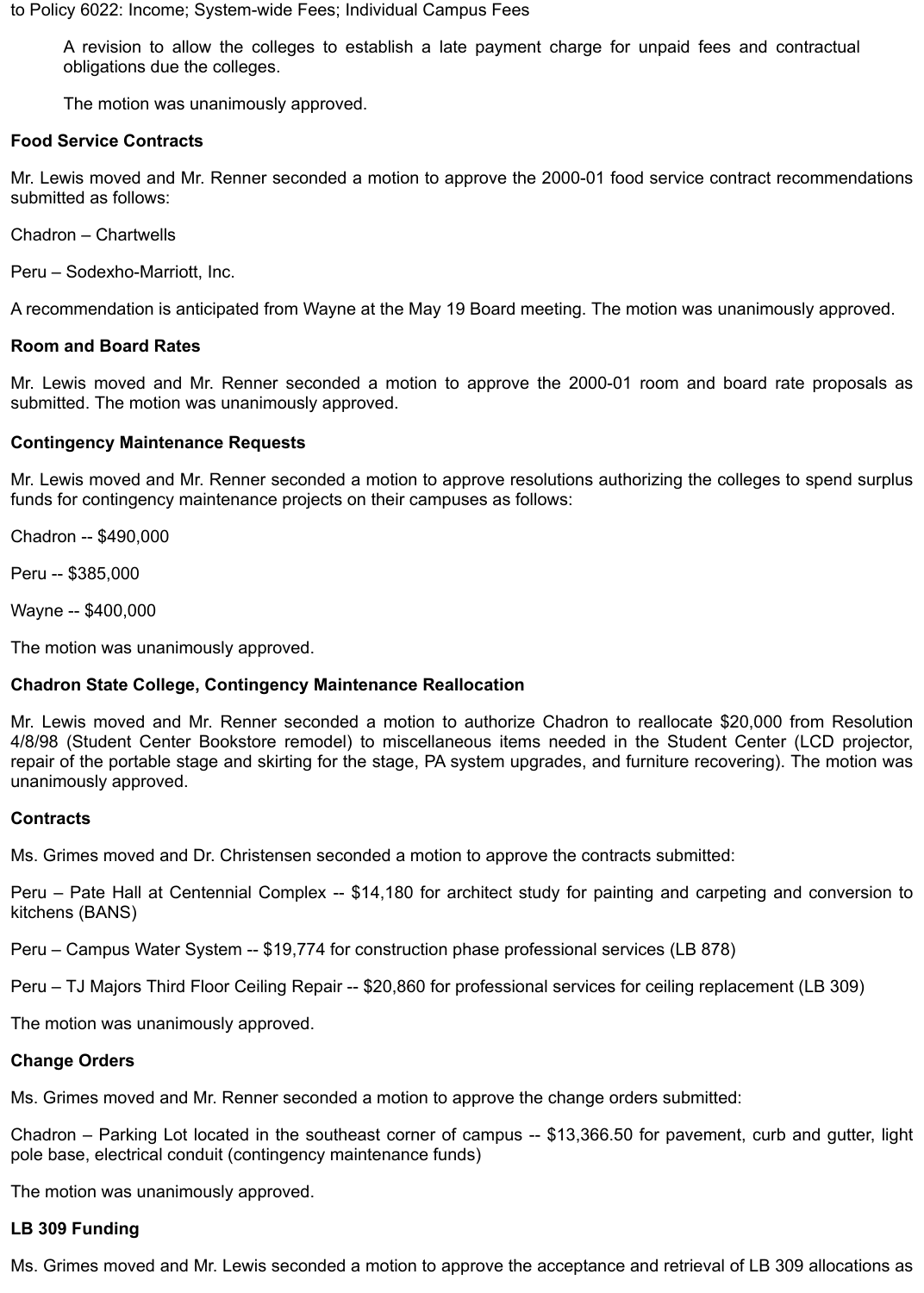to Policy 6022: Income; System-wide Fees; Individual Campus Fees

A revision to allow the colleges to establish a late payment charge for unpaid fees and contractual obligations due the colleges.

The motion was unanimously approved.

### **Food Service Contracts**

Mr. Lewis moved and Mr. Renner seconded a motion to approve the 2000-01 food service contract recommendations submitted as follows:

Chadron – Chartwells

Peru – Sodexho-Marriott, Inc.

A recommendation is anticipated from Wayne at the May 19 Board meeting. The motion was unanimously approved.

### **Room and Board Rates**

Mr. Lewis moved and Mr. Renner seconded a motion to approve the 2000-01 room and board rate proposals as submitted. The motion was unanimously approved.

### **Contingency Maintenance Requests**

Mr. Lewis moved and Mr. Renner seconded a motion to approve resolutions authorizing the colleges to spend surplus funds for contingency maintenance projects on their campuses as follows:

Chadron -- \$490,000

Peru -- \$385,000

Wayne -- \$400,000

The motion was unanimously approved.

## **Chadron State College, Contingency Maintenance Reallocation**

Mr. Lewis moved and Mr. Renner seconded a motion to authorize Chadron to reallocate \$20,000 from Resolution 4/8/98 (Student Center Bookstore remodel) to miscellaneous items needed in the Student Center (LCD projector, repair of the portable stage and skirting for the stage, PA system upgrades, and furniture recovering). The motion was unanimously approved.

### **Contracts**

Ms. Grimes moved and Dr. Christensen seconded a motion to approve the contracts submitted:

Peru – Pate Hall at Centennial Complex -- \$14,180 for architect study for painting and carpeting and conversion to kitchens (BANS)

Peru – Campus Water System -- \$19,774 for construction phase professional services (LB 878)

Peru – TJ Majors Third Floor Ceiling Repair -- \$20,860 for professional services for ceiling replacement (LB 309)

The motion was unanimously approved.

### **Change Orders**

Ms. Grimes moved and Mr. Renner seconded a motion to approve the change orders submitted:

Chadron – Parking Lot located in the southeast corner of campus -- \$13,366.50 for pavement, curb and gutter, light pole base, electrical conduit (contingency maintenance funds)

The motion was unanimously approved.

## **LB 309 Funding**

Ms. Grimes moved and Mr. Lewis seconded a motion to approve the acceptance and retrieval of LB 309 allocations as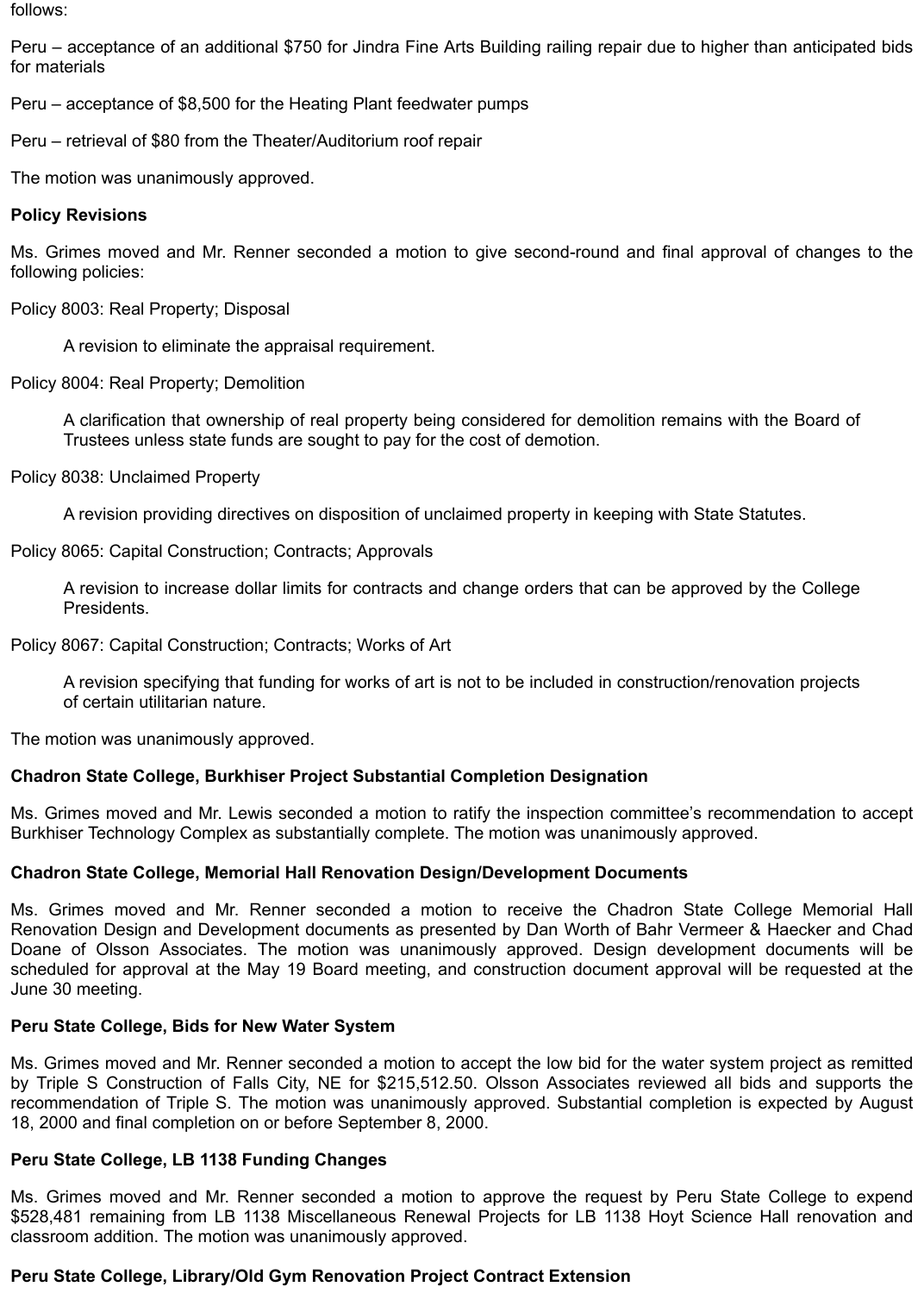follows:

Peru – acceptance of an additional \$750 for Jindra Fine Arts Building railing repair due to higher than anticipated bids for materials

Peru – acceptance of \$8,500 for the Heating Plant feedwater pumps

Peru – retrieval of \$80 from the Theater/Auditorium roof repair

The motion was unanimously approved.

## **Policy Revisions**

Ms. Grimes moved and Mr. Renner seconded a motion to give second-round and final approval of changes to the following policies:

Policy 8003: Real Property; Disposal

A revision to eliminate the appraisal requirement.

Policy 8004: Real Property; Demolition

A clarification that ownership of real property being considered for demolition remains with the Board of Trustees unless state funds are sought to pay for the cost of demotion.

Policy 8038: Unclaimed Property

A revision providing directives on disposition of unclaimed property in keeping with State Statutes.

Policy 8065: Capital Construction; Contracts; Approvals

A revision to increase dollar limits for contracts and change orders that can be approved by the College Presidents.

Policy 8067: Capital Construction; Contracts; Works of Art

A revision specifying that funding for works of art is not to be included in construction/renovation projects of certain utilitarian nature.

The motion was unanimously approved.

## **Chadron State College, Burkhiser Project Substantial Completion Designation**

Ms. Grimes moved and Mr. Lewis seconded a motion to ratify the inspection committee's recommendation to accept Burkhiser Technology Complex as substantially complete. The motion was unanimously approved.

## **Chadron State College, Memorial Hall Renovation Design/Development Documents**

Ms. Grimes moved and Mr. Renner seconded a motion to receive the Chadron State College Memorial Hall Renovation Design and Development documents as presented by Dan Worth of Bahr Vermeer & Haecker and Chad Doane of Olsson Associates. The motion was unanimously approved. Design development documents will be scheduled for approval at the May 19 Board meeting, and construction document approval will be requested at the June 30 meeting.

## **Peru State College, Bids for New Water System**

Ms. Grimes moved and Mr. Renner seconded a motion to accept the low bid for the water system project as remitted by Triple S Construction of Falls City, NE for \$215,512.50. Olsson Associates reviewed all bids and supports the recommendation of Triple S. The motion was unanimously approved. Substantial completion is expected by August 18, 2000 and final completion on or before September 8, 2000.

## **Peru State College, LB 1138 Funding Changes**

Ms. Grimes moved and Mr. Renner seconded a motion to approve the request by Peru State College to expend \$528,481 remaining from LB 1138 Miscellaneous Renewal Projects for LB 1138 Hoyt Science Hall renovation and classroom addition. The motion was unanimously approved.

## **Peru State College, Library/Old Gym Renovation Project Contract Extension**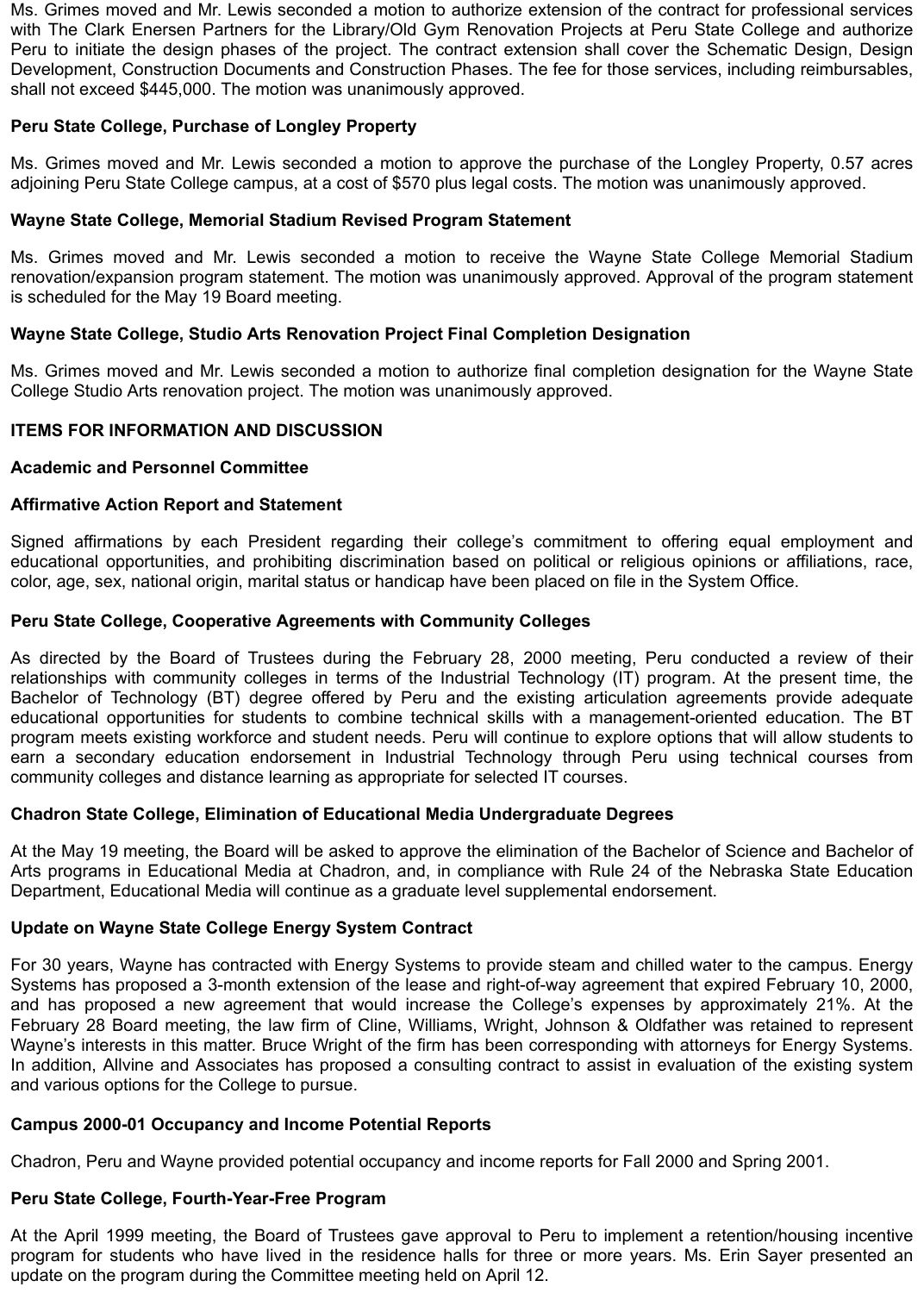Ms. Grimes moved and Mr. Lewis seconded a motion to authorize extension of the contract for professional services with The Clark Enersen Partners for the Library/Old Gym Renovation Projects at Peru State College and authorize Peru to initiate the design phases of the project. The contract extension shall cover the Schematic Design, Design Development, Construction Documents and Construction Phases. The fee for those services, including reimbursables, shall not exceed \$445,000. The motion was unanimously approved.

# **Peru State College, Purchase of Longley Property**

Ms. Grimes moved and Mr. Lewis seconded a motion to approve the purchase of the Longley Property, 0.57 acres adjoining Peru State College campus, at a cost of \$570 plus legal costs. The motion was unanimously approved.

## **Wayne State College, Memorial Stadium Revised Program Statement**

Ms. Grimes moved and Mr. Lewis seconded a motion to receive the Wayne State College Memorial Stadium renovation/expansion program statement. The motion was unanimously approved. Approval of the program statement is scheduled for the May 19 Board meeting.

## **Wayne State College, Studio Arts Renovation Project Final Completion Designation**

Ms. Grimes moved and Mr. Lewis seconded a motion to authorize final completion designation for the Wayne State College Studio Arts renovation project. The motion was unanimously approved.

### **ITEMS FOR INFORMATION AND DISCUSSION**

### **Academic and Personnel Committee**

### **Affirmative Action Report and Statement**

Signed affirmations by each President regarding their college's commitment to offering equal employment and educational opportunities, and prohibiting discrimination based on political or religious opinions or affiliations, race, color, age, sex, national origin, marital status or handicap have been placed on file in the System Office.

### **Peru State College, Cooperative Agreements with Community Colleges**

As directed by the Board of Trustees during the February 28, 2000 meeting, Peru conducted a review of their relationships with community colleges in terms of the Industrial Technology (IT) program. At the present time, the Bachelor of Technology (BT) degree offered by Peru and the existing articulation agreements provide adequate educational opportunities for students to combine technical skills with a management-oriented education. The BT program meets existing workforce and student needs. Peru will continue to explore options that will allow students to earn a secondary education endorsement in Industrial Technology through Peru using technical courses from community colleges and distance learning as appropriate for selected IT courses.

### **Chadron State College, Elimination of Educational Media Undergraduate Degrees**

At the May 19 meeting, the Board will be asked to approve the elimination of the Bachelor of Science and Bachelor of Arts programs in Educational Media at Chadron, and, in compliance with Rule 24 of the Nebraska State Education Department, Educational Media will continue as a graduate level supplemental endorsement.

## **Update on Wayne State College Energy System Contract**

For 30 years, Wayne has contracted with Energy Systems to provide steam and chilled water to the campus. Energy Systems has proposed a 3-month extension of the lease and right-of-way agreement that expired February 10, 2000, and has proposed a new agreement that would increase the College's expenses by approximately 21%. At the February 28 Board meeting, the law firm of Cline, Williams, Wright, Johnson & Oldfather was retained to represent Wayne's interests in this matter. Bruce Wright of the firm has been corresponding with attorneys for Energy Systems. In addition, Allvine and Associates has proposed a consulting contract to assist in evaluation of the existing system and various options for the College to pursue.

## **Campus 2000-01 Occupancy and Income Potential Reports**

Chadron, Peru and Wayne provided potential occupancy and income reports for Fall 2000 and Spring 2001.

# **Peru State College, Fourth-Year-Free Program**

At the April 1999 meeting, the Board of Trustees gave approval to Peru to implement a retention/housing incentive program for students who have lived in the residence halls for three or more years. Ms. Erin Sayer presented an update on the program during the Committee meeting held on April 12.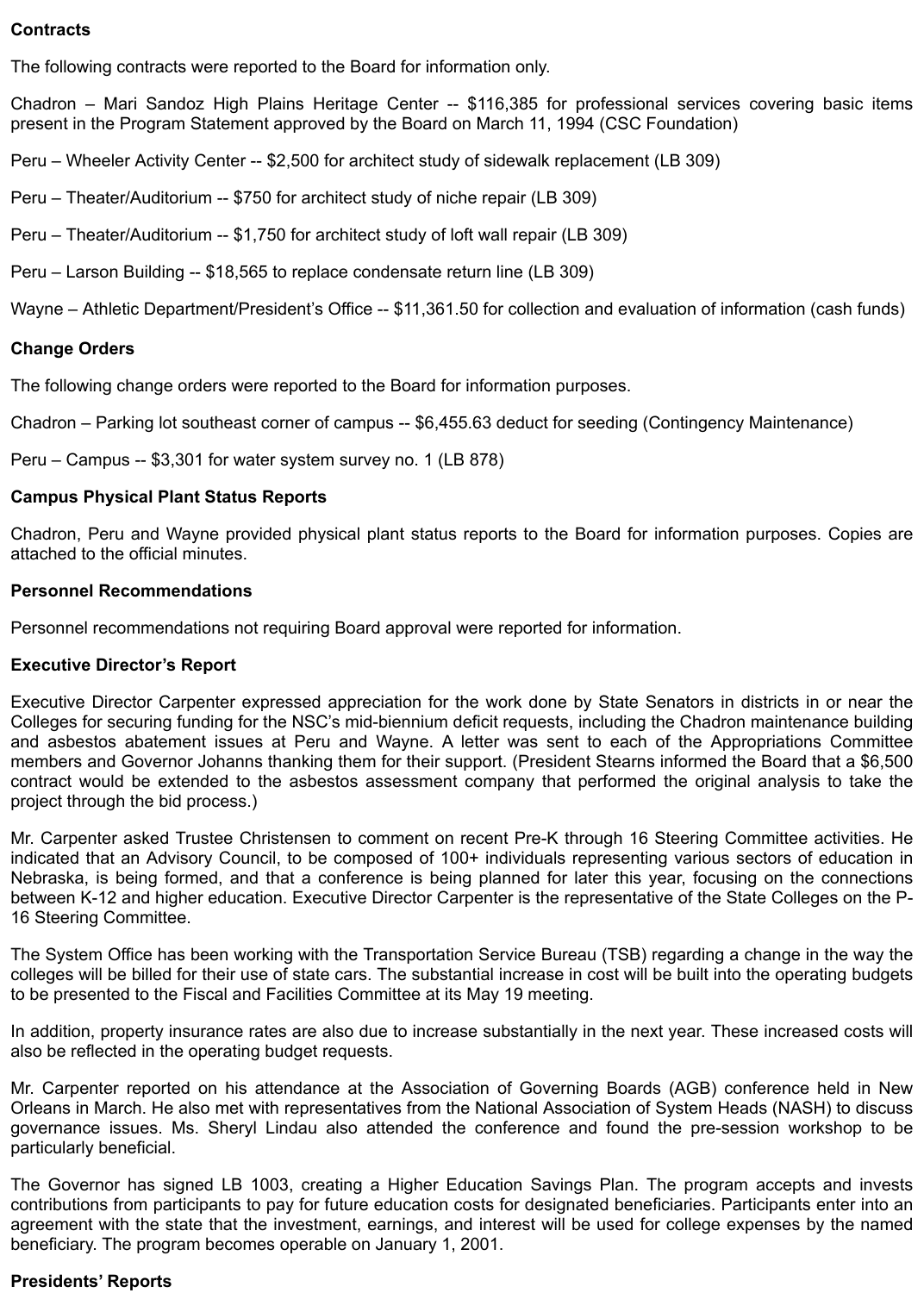### **Contracts**

The following contracts were reported to the Board for information only.

Chadron – Mari Sandoz High Plains Heritage Center -- \$116,385 for professional services covering basic items present in the Program Statement approved by the Board on March 11, 1994 (CSC Foundation)

Peru – Wheeler Activity Center -- \$2,500 for architect study of sidewalk replacement (LB 309)

Peru – Theater/Auditorium -- \$750 for architect study of niche repair (LB 309)

Peru – Theater/Auditorium -- \$1,750 for architect study of loft wall repair (LB 309)

Peru – Larson Building -- \$18,565 to replace condensate return line (LB 309)

Wayne – Athletic Department/President's Office -- \$11,361.50 for collection and evaluation of information (cash funds)

### **Change Orders**

The following change orders were reported to the Board for information purposes.

Chadron – Parking lot southeast corner of campus -- \$6,455.63 deduct for seeding (Contingency Maintenance)

Peru – Campus -- \$3,301 for water system survey no. 1 (LB 878)

### **Campus Physical Plant Status Reports**

Chadron, Peru and Wayne provided physical plant status reports to the Board for information purposes. Copies are attached to the official minutes.

### **Personnel Recommendations**

Personnel recommendations not requiring Board approval were reported for information.

### **Executive Director's Report**

Executive Director Carpenter expressed appreciation for the work done by State Senators in districts in or near the Colleges for securing funding for the NSC's mid-biennium deficit requests, including the Chadron maintenance building and asbestos abatement issues at Peru and Wayne. A letter was sent to each of the Appropriations Committee members and Governor Johanns thanking them for their support. (President Stearns informed the Board that a \$6,500 contract would be extended to the asbestos assessment company that performed the original analysis to take the project through the bid process.)

Mr. Carpenter asked Trustee Christensen to comment on recent Pre-K through 16 Steering Committee activities. He indicated that an Advisory Council, to be composed of 100+ individuals representing various sectors of education in Nebraska, is being formed, and that a conference is being planned for later this year, focusing on the connections between K-12 and higher education. Executive Director Carpenter is the representative of the State Colleges on the P-16 Steering Committee.

The System Office has been working with the Transportation Service Bureau (TSB) regarding a change in the way the colleges will be billed for their use of state cars. The substantial increase in cost will be built into the operating budgets to be presented to the Fiscal and Facilities Committee at its May 19 meeting.

In addition, property insurance rates are also due to increase substantially in the next year. These increased costs will also be reflected in the operating budget requests.

Mr. Carpenter reported on his attendance at the Association of Governing Boards (AGB) conference held in New Orleans in March. He also met with representatives from the National Association of System Heads (NASH) to discuss governance issues. Ms. Sheryl Lindau also attended the conference and found the pre-session workshop to be particularly beneficial.

The Governor has signed LB 1003, creating a Higher Education Savings Plan. The program accepts and invests contributions from participants to pay for future education costs for designated beneficiaries. Participants enter into an agreement with the state that the investment, earnings, and interest will be used for college expenses by the named beneficiary. The program becomes operable on January 1, 2001.

### **Presidents' Reports**